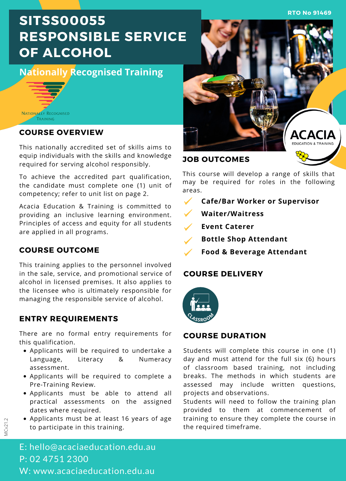**RTO No 91469**

# **SITSS00055 RESPONSIBLE SERVICE OF ALCOHOL**

## **Nationally Recognised Training**



### **COURSE OVERVIEW**

This nationally accredited set of skills aims to equip individuals with the skills and knowledge required for serving alcohol responsibly.

To achieve the accredited part qualification, the candidate must complete one (1) unit of competency; refer to unit list on page 2.

Acacia Education & Training is committed to providing an inclusive learning environment. Principles of access and equity for all students are applied in all programs.

## **COURSE OUTCOME**

This training applies to the personnel involved in the sale, service, and promotional service of alcohol in licensed premises. It also applies to the licensee who is ultimately responsible for managing the responsible service of alcohol.

## **ENTRY REQUIREMENTS**

There are no formal entry requirements for this qualification.

- Applicants will be required to undertake a Language, Literacy & Numeracy assessment.
- Applicants will be required to complete a Pre-Training Review.
- Applicants must be able to attend all practical assessments on the assigned dates where required.
- Applicants must be at least 16 years of age to participate in this training.



#### **JOB OUTCOMES**

This course will develop a range of skills that may be required for roles in the following areas.

- **Cafe/Bar Worker or Supervisor**
- **Waiter/Waitress**
- **Event Caterer**
- **Bottle Shop Attendant**
	- **Food & Beverage Attendant**

## **COURSE DELIVERY**



### **COURSE DURATION**

Students will complete this course in one (1) day and must attend for the full six (6) hours of classroom based training, not including breaks. The methods in which students are assessed may include written questions, projects and observations.

Students will need to follow the training plan provided to them at commencement of training to ensure they complete the course in the required timeframe.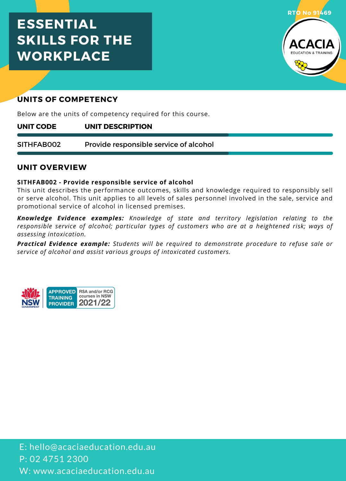## **ESSENTIAL SKILLS FOR THE WORKPLACE**



## **UNITS OF COMPETENCY**

Below are the units of competency required for this course.

#### **UNIT DESCRIPTION UNIT CODE**

Provide responsible service of alcohol SITHFAB002

### **UNIT OVERVIEW**

#### **SITHFAB002 - Provide responsible service of alcohol**

This unit describes the performance outcomes, skills and knowledge required to responsibly sell or serve alcohol. This unit applies to all levels of sales personnel involved in the sale, service and promotional service of alcohol in licensed premises.

*Knowledge Evidence examples: Knowledge of state and territory legislation relating to the responsible service of alcohol; particular types of customers who are at a heightened risk; ways of assessing intoxication.*

*Practical Evidence example: Students will be required to demonstrate procedure to refuse sale or service of alcohol and assist various groups of intoxicated customers.*